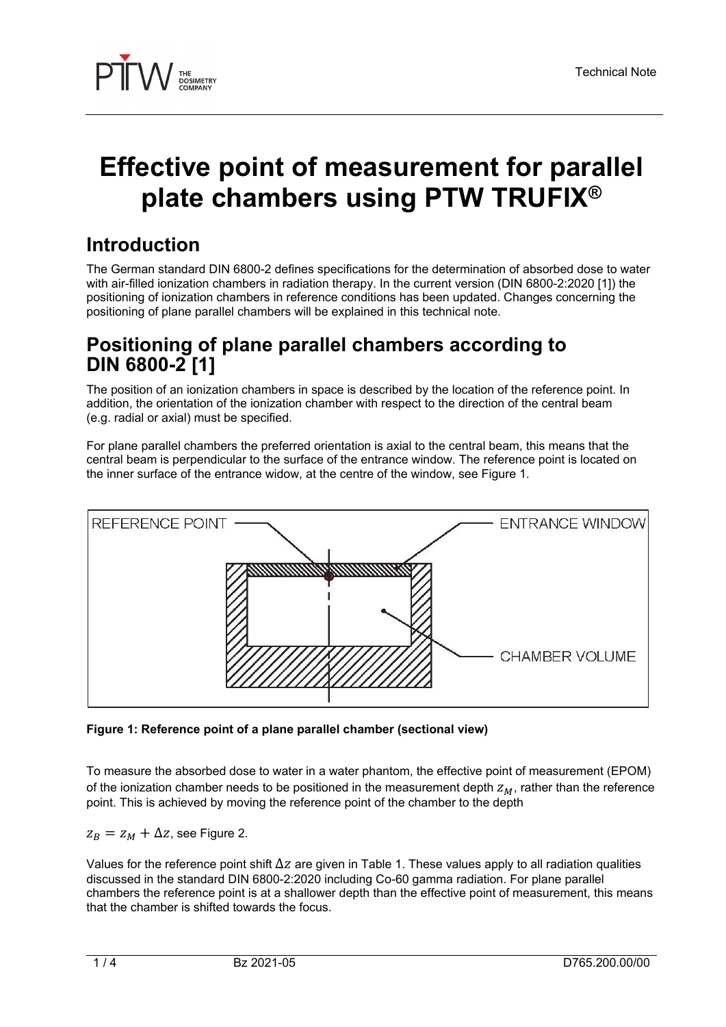

# **Effective point of measurement for parallel plate chambers using PTW TRUFIX®**

# **Introduction**

The German standard DIN 6800-2 defines specifications for the determination of absorbed dose to water with air-filled ionization chambers in radiation therapy. In the current version (DIN 6800-2:2020 [1]) the positioning of ionization chambers in reference conditions has been updated. Changes concerning the positioning of plane parallel chambers will be explained in this technical note.

### **Positioning of plane parallel chambers according to DIN 6800-2 [1]**

The position of an ionization chambers in space is described by the location of the reference point. In addition, the orientation of the ionization chamber with respect to the direction of the central beam (e.g. radial or axial) must be specified.

For plane parallel chambers the preferred orientation is axial to the central beam, this means that the central beam is perpendicular to the surface of the entrance window. The reference point is located on the inner surface of the entrance widow, at the centre of the window, see Figure 1.



**Figure 1: Reference point of a plane parallel chamber (sectional view)** 

To measure the absorbed dose to water in a water phantom, the effective point of measurement (EPOM) of the ionization chamber needs to be positioned in the measurement depth  $Z_M$ , rather than the reference point. This is achieved by moving the reference point of the chamber to the depth

 $z_B = z_M + \Delta z$ , see Figure 2.

Values for the reference point shift  $\Delta z$  are given in Table 1. These values apply to all radiation qualities discussed in the standard DIN 6800-2:2020 including Co-60 gamma radiation. For plane parallel chambers the reference point is at a shallower depth than the effective point of measurement, this means that the chamber is shifted towards the focus.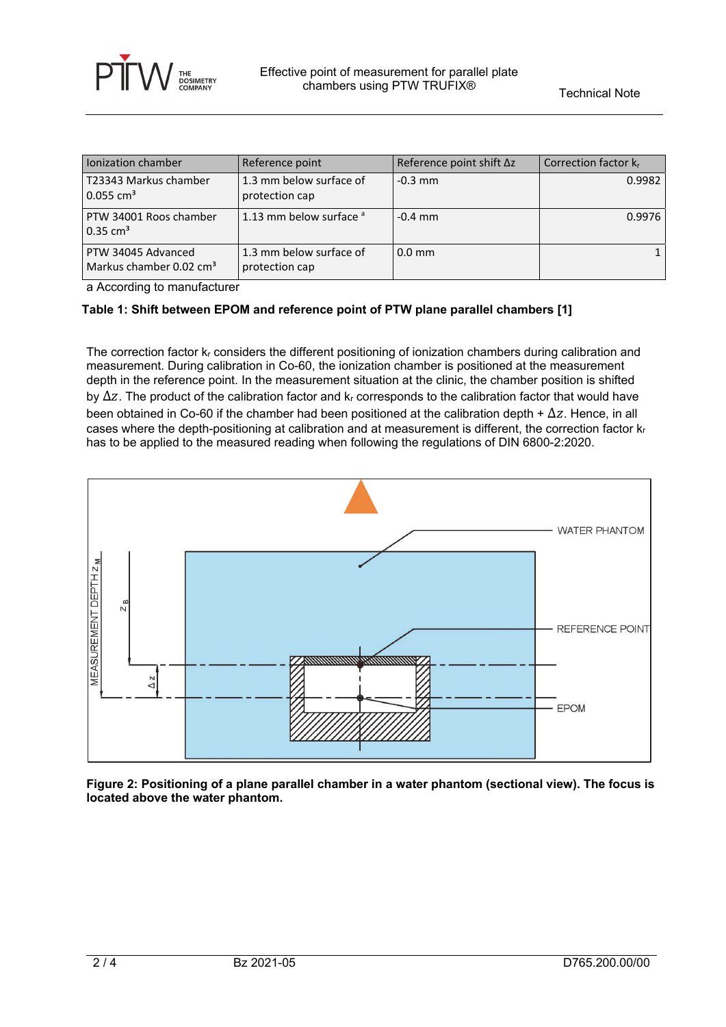

| Ionization chamber                                        | Reference point                           | Reference point shift ∆z | Correction factor kr |
|-----------------------------------------------------------|-------------------------------------------|--------------------------|----------------------|
| T23343 Markus chamber<br>$0.055$ cm <sup>3</sup>          | 1.3 mm below surface of<br>protection cap | $-0.3$ mm                | 0.9982               |
| PTW 34001 Roos chamber<br>$0.35 \text{ cm}^3$             | 1.13 mm below surface $a$                 | $-0.4$ mm                | 0.9976               |
| PTW 34045 Advanced<br>Markus chamber 0.02 cm <sup>3</sup> | 1.3 mm below surface of<br>protection cap | $0.0$ mm                 |                      |

a According to manufacturer

#### **Table 1: Shift between EPOM and reference point of PTW plane parallel chambers [1]**

The correction factor  $k_r$  considers the different positioning of ionization chambers during calibration and measurement. During calibration in Co-60, the ionization chamber is positioned at the measurement depth in the reference point. In the measurement situation at the clinic, the chamber position is shifted by Δz. The product of the calibration factor and k<sub>r</sub> corresponds to the calibration factor that would have been obtained in Co-60 if the chamber had been positioned at the calibration depth +  $\Delta z$ . Hence, in all cases where the depth-positioning at calibration and at measurement is different, the correction factor  $k_r$ has to be applied to the measured reading when following the regulations of DIN 6800-2:2020.



**Figure 2: Positioning of a plane parallel chamber in a water phantom (sectional view). The focus is located above the water phantom.**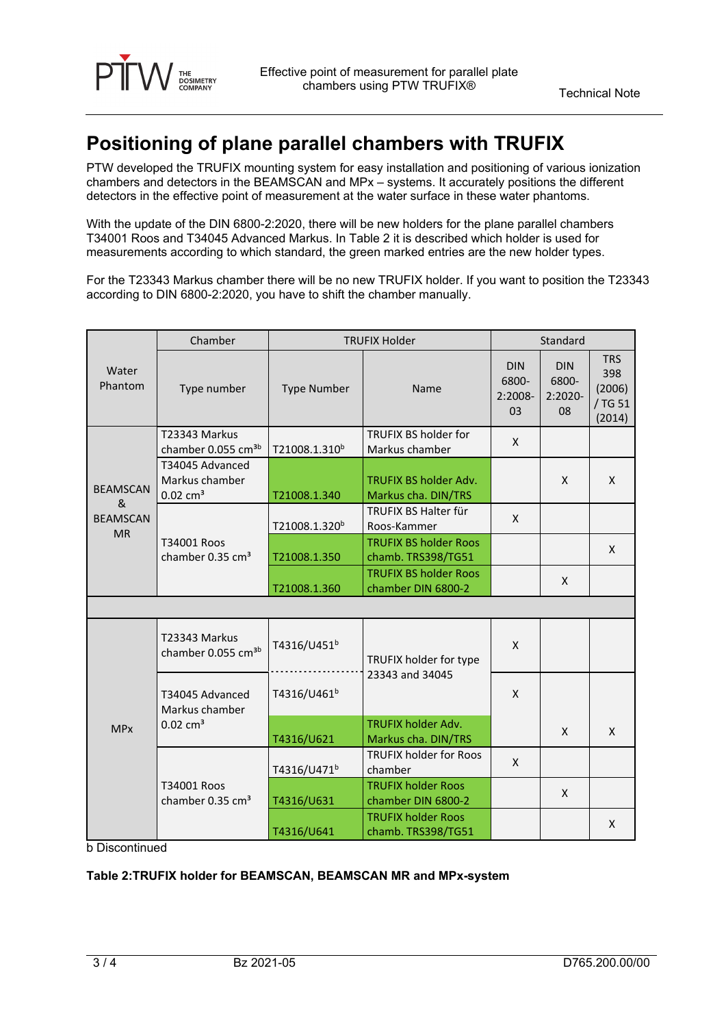

# **Positioning of plane parallel chambers with TRUFIX**

PTW developed the TRUFIX mounting system for easy installation and positioning of various ionization chambers and detectors in the BEAMSCAN and MPx – systems. It accurately positions the different detectors in the effective point of measurement at the water surface in these water phantoms.

With the update of the DIN 6800-2:2020, there will be new holders for the plane parallel chambers T34001 Roos and T34045 Advanced Markus. In Table 2 it is described which holder is used for measurements according to which standard, the green marked entries are the new holder types.

For the T23343 Markus chamber there will be no new TRUFIX holder. If you want to position the T23343 according to DIN 6800-2:2020, you have to shift the chamber manually.

|                                                      | Chamber                                                     | <b>TRUFIX Holder</b>      |                                                     | Standard                             |                                      |                                                  |
|------------------------------------------------------|-------------------------------------------------------------|---------------------------|-----------------------------------------------------|--------------------------------------|--------------------------------------|--------------------------------------------------|
| Water<br>Phantom                                     | Type number                                                 | <b>Type Number</b>        | Name                                                | <b>DIN</b><br>6800-<br>2:2008-<br>03 | <b>DIN</b><br>6800-<br>2:2020-<br>08 | <b>TRS</b><br>398<br>(2006)<br>/ TG 51<br>(2014) |
| <b>BEAMSCAN</b><br>&<br><b>BEAMSCAN</b><br><b>MR</b> | T23343 Markus<br>chamber 0.055 cm <sup>3b</sup>             | T21008.1.310 <sup>b</sup> | TRUFIX BS holder for<br>Markus chamber              | X                                    |                                      |                                                  |
|                                                      | T34045 Advanced<br>Markus chamber<br>$0.02$ cm <sup>3</sup> | T21008.1.340              | <b>TRUFIX BS holder Adv.</b><br>Markus cha. DIN/TRS |                                      | X                                    | X                                                |
|                                                      | T34001 Roos<br>chamber 0.35 $cm3$                           | T21008.1.320 <sup>b</sup> | TRUFIX BS Halter für<br>Roos-Kammer                 | X                                    |                                      |                                                  |
|                                                      |                                                             | T21008.1.350              | <b>TRUFIX BS holder Roos</b><br>chamb. TRS398/TG51  |                                      |                                      | X                                                |
|                                                      |                                                             | T21008.1.360              | <b>TRUFIX BS holder Roos</b><br>chamber DIN 6800-2  |                                      | X                                    |                                                  |
|                                                      |                                                             |                           |                                                     |                                      |                                      |                                                  |
| <b>MPx</b>                                           | T23343 Markus<br>chamber 0.055 cm <sup>3b</sup>             | T4316/U451 <sup>b</sup>   | TRUFIX holder for type                              | X                                    |                                      |                                                  |
|                                                      | T34045 Advanced<br>Markus chamber<br>$0.02 \text{ cm}^3$    | T4316/U461 <sup>b</sup>   | 23343 and 34045                                     | X                                    |                                      |                                                  |
|                                                      |                                                             | T4316/U621                | <b>TRUFIX holder Adv.</b><br>Markus cha. DIN/TRS    |                                      | X                                    | X                                                |
|                                                      | T34001 Roos<br>chamber 0.35 $cm3$                           | T4316/U471 <sup>b</sup>   | <b>TRUFIX holder for Roos</b><br>chamber            | X                                    |                                      |                                                  |
|                                                      |                                                             | T4316/U631                | <b>TRUFIX holder Roos</b><br>chamber DIN 6800-2     |                                      | X                                    |                                                  |
|                                                      |                                                             | T4316/U641                | <b>TRUFIX holder Roos</b><br>chamb. TRS398/TG51     |                                      |                                      | X                                                |

b Discontinued

#### **Table 2:TRUFIX holder for BEAMSCAN, BEAMSCAN MR and MPx-system**